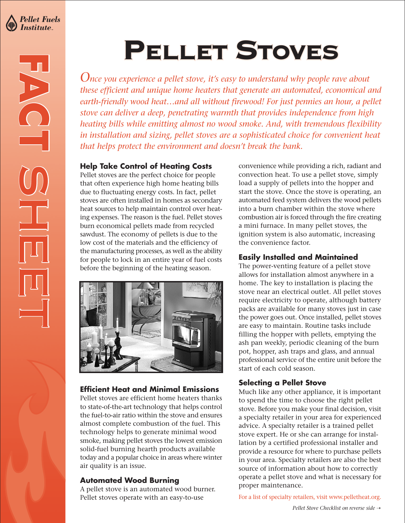

**FACT**

**SHEET**<br>SHEET<br>SHEET

# PELLET STOVES

*Once you experience a pellet stove, it's easy to understand why people rave about these efficient and unique home heaters that generate an automated, economical and earth-friendly wood heat…and all without firewood! For just pennies an hour, a pellet stove can deliver a deep, penetrating warmth that provides independence from high heating bills while emitting almost no wood smoke. And, with tremendous flexibility in installation and sizing, pellet stoves are a sophisticated choice for convenient heat that helps protect the environment and doesn't break the bank.*

#### **Help Take Control of Heating Costs**

Pellet stoves are the perfect choice for people that often experience high home heating bills due to fluctuating energy costs. In fact, pellet stoves are often installed in homes as secondary heat sources to help maintain control over heating expenses. The reason is the fuel. Pellet stoves burn economical pellets made from recycled sawdust. The economy of pellets is due to the low cost of the materials and the efficiency of the manufacturing processes, as well as the ability for people to lock in an entire year of fuel costs before the beginning of the heating season.



## **Efficient Heat and Minimal Emissions**

Pellet stoves are efficient home heaters thanks to state-of-the-art technology that helps control the fuel-to-air ratio within the stove and ensures almost complete combustion of the fuel. This technology helps to generate minimal wood smoke, making pellet stoves the lowest emission solid-fuel burning hearth products available today and a popular choice in areas where winter air quality is an issue.

#### **Automated Wood Burning**

A pellet stove is an automated wood burner. Pellet stoves operate with an easy-to-use

convenience while providing a rich, radiant and convection heat. To use a pellet stove, simply load a supply of pellets into the hopper and start the stove. Once the stove is operating, an automated feed system delivers the wood pellets into a burn chamber within the stove where combustion air is forced through the fire creating a mini furnace. In many pellet stoves, the ignition system is also automatic, increasing the convenience factor.

#### **Easily Installed and Maintained**

The power-venting feature of a pellet stove allows for installation almost anywhere in a home. The key to installation is placing the stove near an electrical outlet. All pellet stoves require electricity to operate, although battery packs are available for many stoves just in case the power goes out. Once installed, pellet stoves are easy to maintain. Routine tasks include filling the hopper with pellets, emptying the ash pan weekly, periodic cleaning of the burn pot, hopper, ash traps and glass, and annual professional service of the entire unit before the start of each cold season.

## **Selecting a Pellet Stove**

Much like any other appliance, it is important to spend the time to choose the right pellet stove. Before you make your final decision, visit a specialty retailer in your area for experienced advice. A specialty retailer is a trained pellet stove expert. He or she can arrange for installation by a certified professional installer and provide a resource for where to purchase pellets in your area. Specialty retailers are also the best source of information about how to correctly operate a pellet stove and what is necessary for proper maintenance.

For a list of specialty retailers, visit www.pelletheat.org.